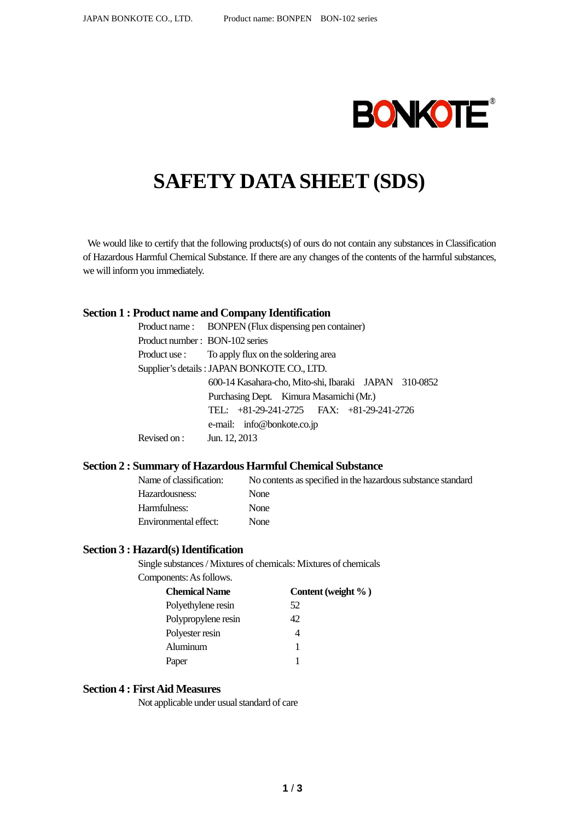

# **SAFETY DATA SHEET (SDS)**

We would like to certify that the following products(s) of ours do not contain any substances in Classification of Hazardous Harmful Chemical Substance. If there are any changes of the contents of the harmful substances, we will inform you immediately.

#### **Section 1 : Product name and Company Identification**

|                                | Product name: BONPEN (Flux dispensing pen container)  |  |  |
|--------------------------------|-------------------------------------------------------|--|--|
| Product number: BON-102 series |                                                       |  |  |
|                                | Product use : To apply flux on the soldering area     |  |  |
|                                | Supplier's details : JAPAN BONKOTE CO., LTD.          |  |  |
|                                | 600-14 Kasahara-cho, Mito-shi, Ibaraki JAPAN 310-0852 |  |  |
|                                | Purchasing Dept. Kimura Masamichi (Mr.)               |  |  |
|                                | TEL: +81-29-241-2725 FAX: +81-29-241-2726             |  |  |
|                                | e-mail: info@bonkote.co.jp                            |  |  |
| Revised on : Jun. $12, 2013$   |                                                       |  |  |

#### **Section 2 : Summary of Hazardous Harmful Chemical Substance**

| Name of classification: | No contents as specified in the hazardous substance standard |
|-------------------------|--------------------------------------------------------------|
| Hazardousness:          | <b>None</b>                                                  |
| Harmfulness:            | <b>None</b>                                                  |
| Environmental effect:   | <b>None</b>                                                  |

#### **Section 3 : Hazard(s) Identification**

Single substances / Mixtures of chemicals: Mixtures of chemicals Components: As follows.

| <b>Chemical Name</b> | Content (weight %) |
|----------------------|--------------------|
| Polyethylene resin   | 52                 |
| Polypropylene resin  | 42                 |
| Polyester resin      |                    |
| Aluminum             |                    |
| Paper                |                    |
|                      |                    |

#### **Section 4 : First Aid Measures**

Not applicable under usual standard of care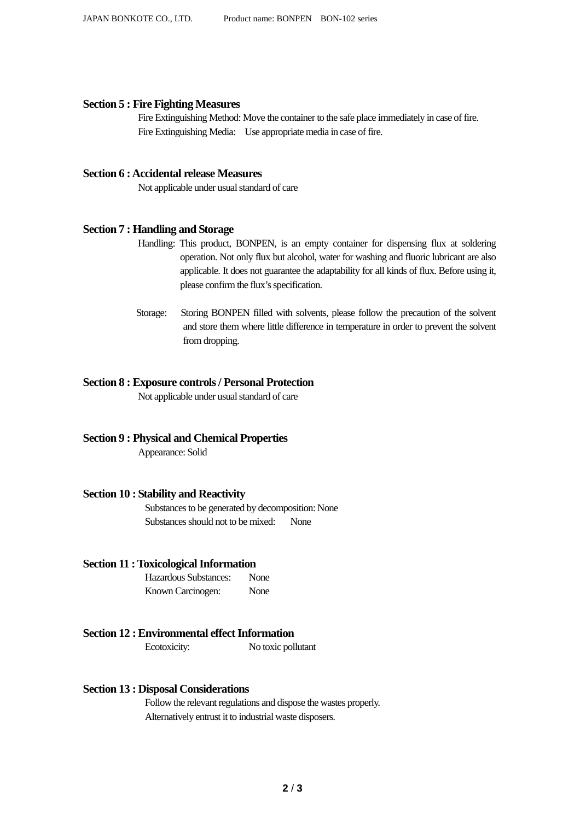#### **Section 5 : Fire Fighting Measures**

Fire Extinguishing Method: Move the container to the safe place immediately in case of fire. Fire Extinguishing Media: Use appropriate media in case of fire.

#### **Section 6 : Accidental release Measures**

Not applicable under usual standard of care

#### **Section 7 : Handling and Storage**

- Handling: This product, BONPEN, is an empty container for dispensing flux at soldering operation. Not only flux but alcohol, water for washing and fluoric lubricant are also applicable. It does not guarantee the adaptability for all kinds of flux. Before using it, please confirm the flux's specification.
- Storage: Storing BONPEN filled with solvents, please follow the precaution of the solvent and store them where little difference in temperature in order to prevent the solvent from dropping.

## **Section 8 : Exposure controls / Personal Protection**

Not applicable under usual standard of care

## **Section 9 : Physical and Chemical Properties**

Appearance: Solid

## **Section 10 : Stability and Reactivity**

Substances to be generated by decomposition: None Substances should not to be mixed: None

## **Section 11 : Toxicological Information**

Hazardous Substances: None Known Carcinogen: None

# **Section 12 : Environmental effect Information**

Ecotoxicity: No toxic pollutant

## **Section 13 : Disposal Considerations**

Follow the relevant regulations and dispose the wastes properly. Alternatively entrust it to industrial waste disposers.